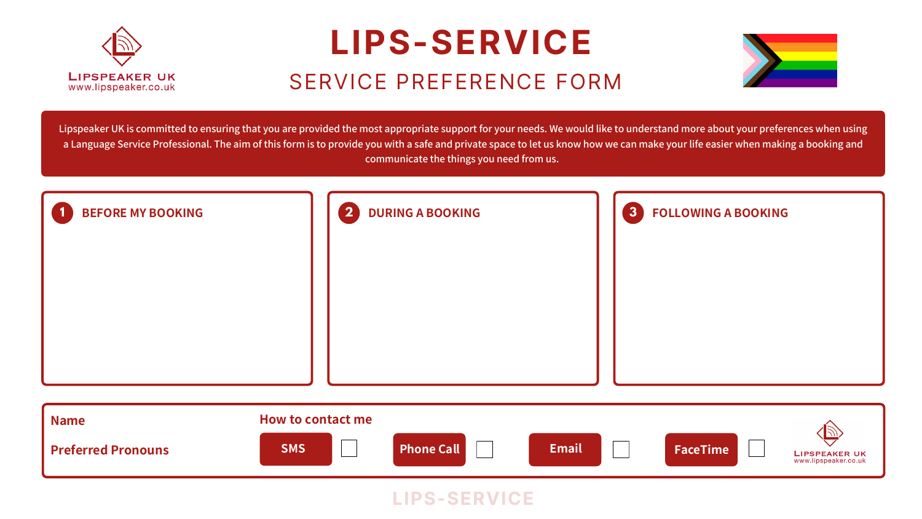Lipspeaker UK is committed to ensuring that you are provided the most appropriate support for your needs. We would like to understand more about your preferences when using a Language Service Professional. The aim of this form is to provide you with a safe and private space to let us know how we can make your life easier when making a booking and communicate the things you need from us.

## **LIPS-SERVICE** SERVICE PREFERENCE FORM









|   | 3 | <b>FOLLOWING A BOOKING</b> |                                       |
|---|---|----------------------------|---------------------------------------|
| l |   | <b>FaceTime</b>            | LIPSPEAKER UK<br>www.lipspeaker.co.uk |